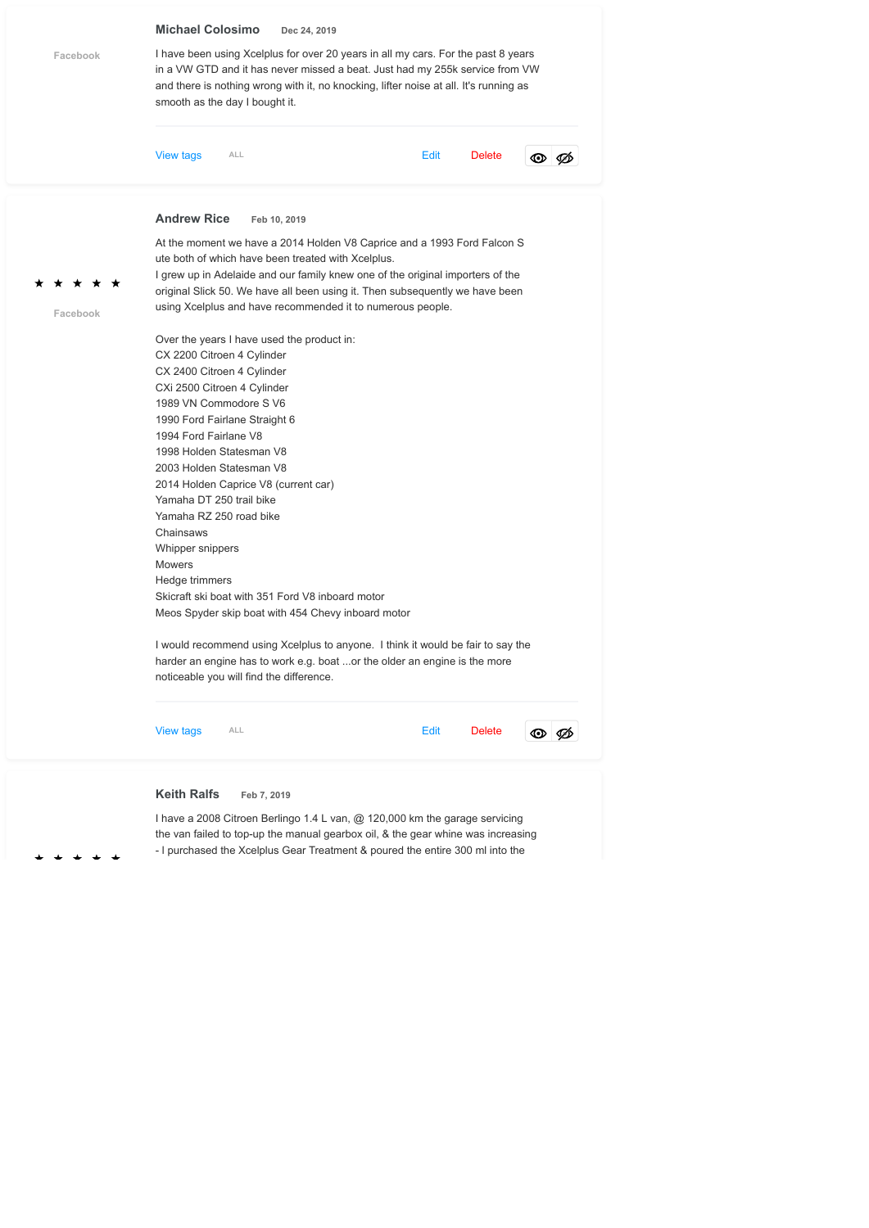

- l purchased the Xcelplus Gear Treatment & poured the entire 300 ml into the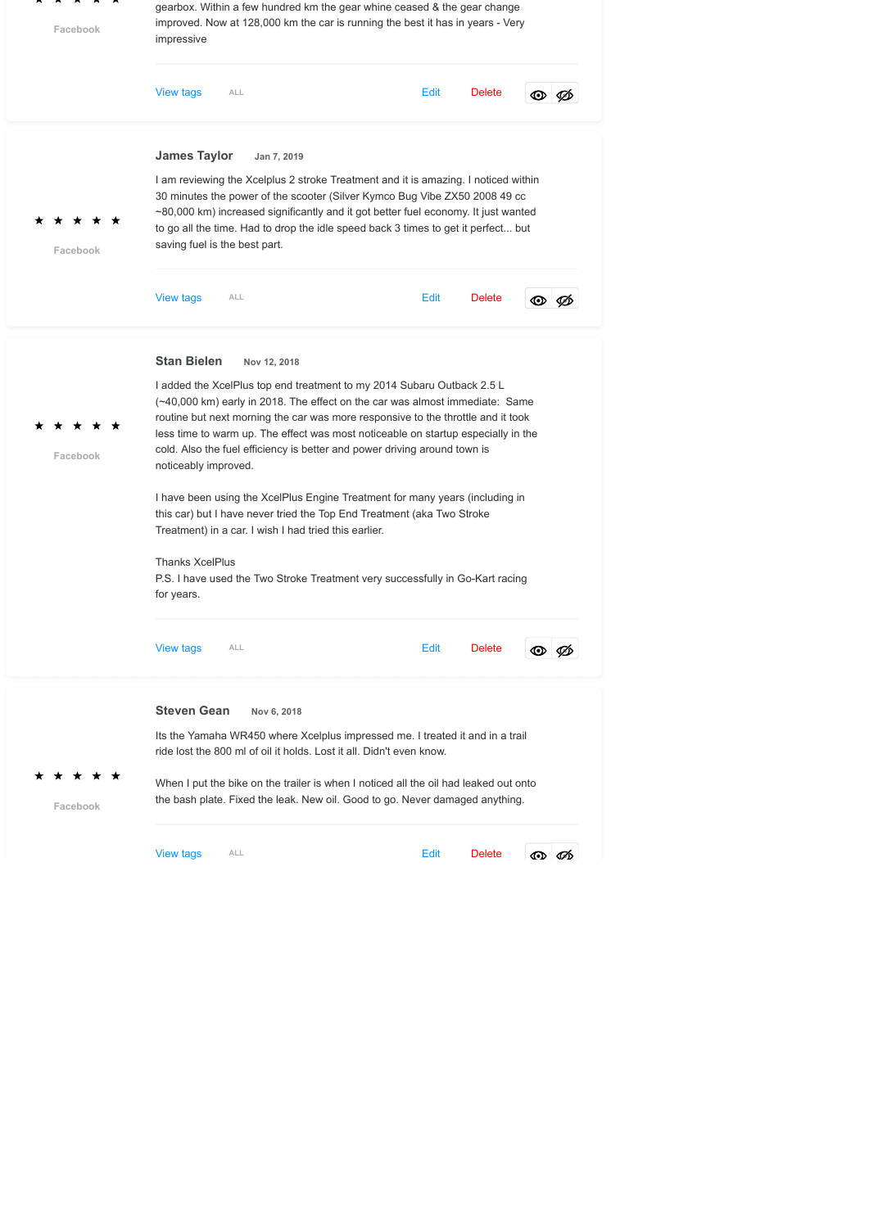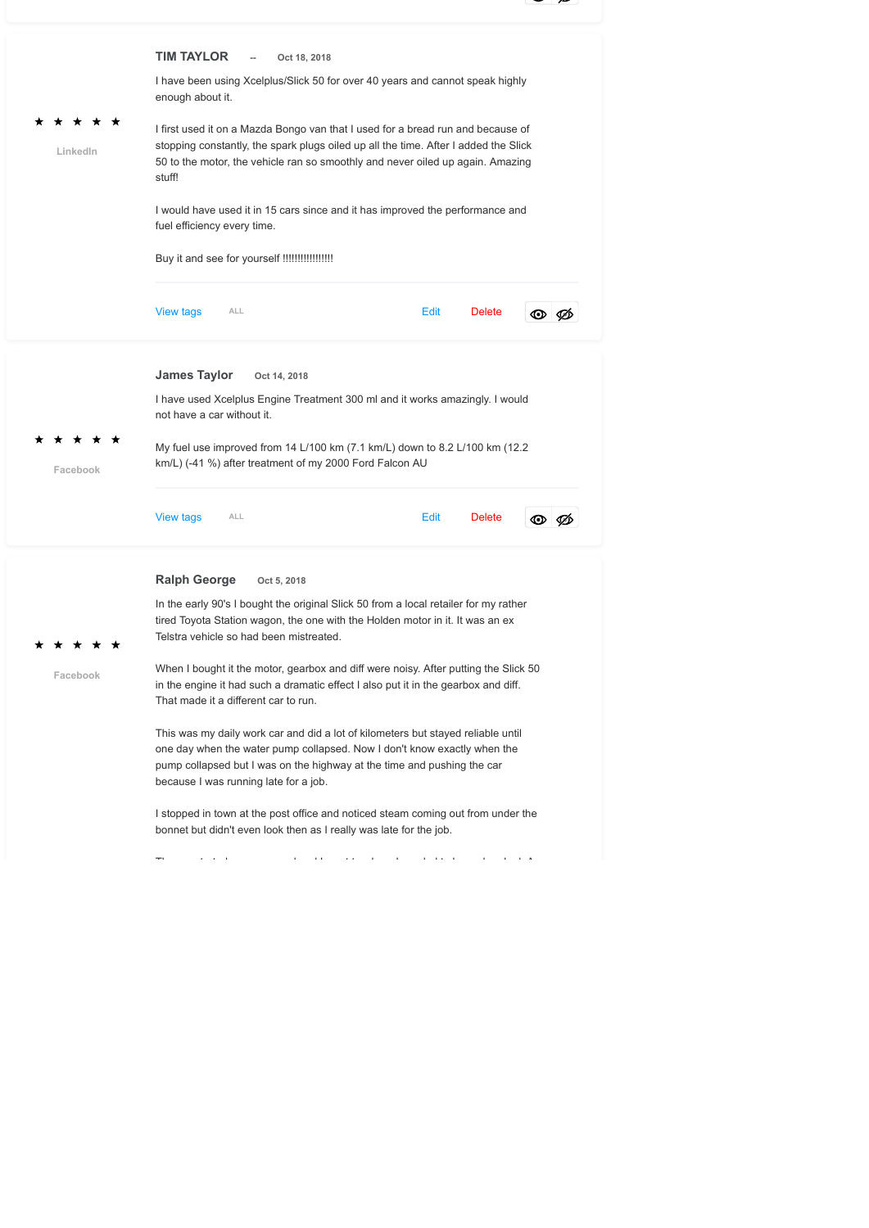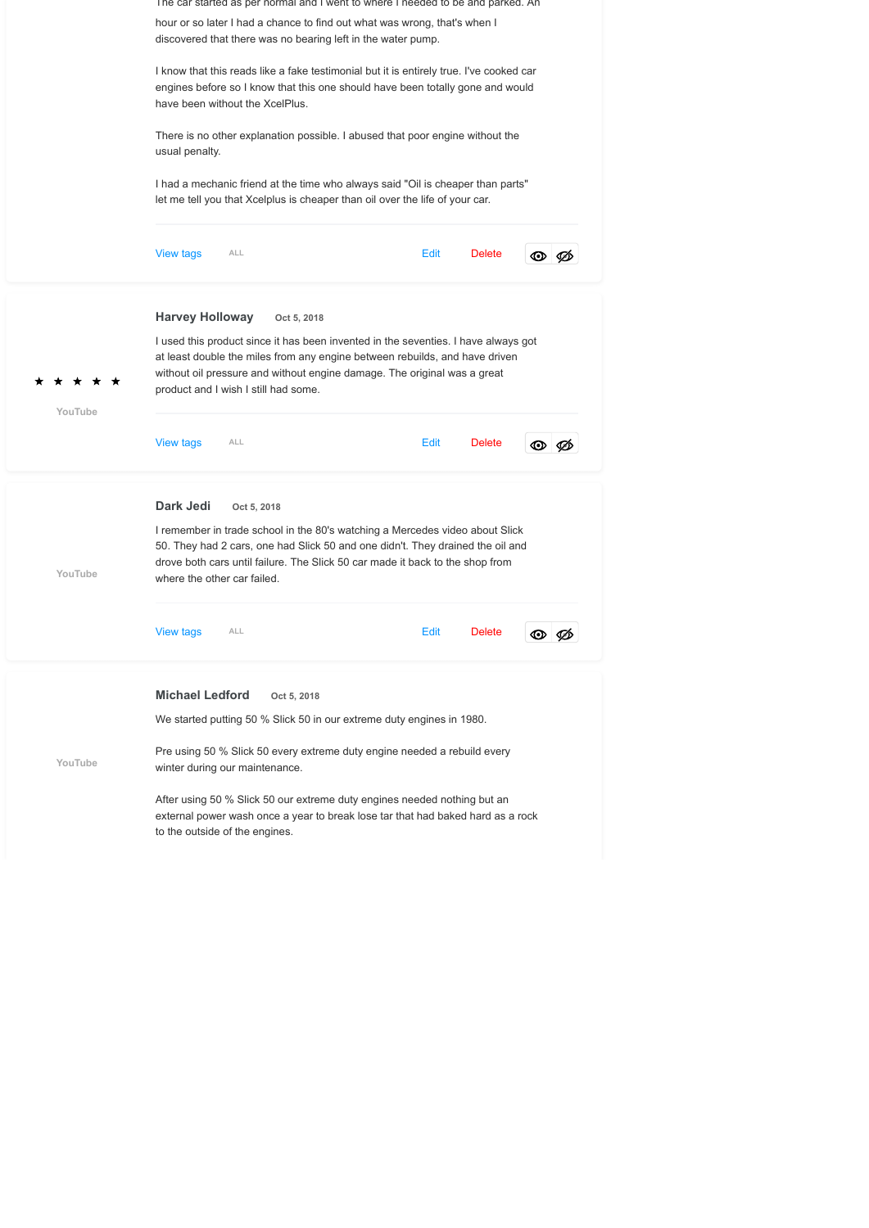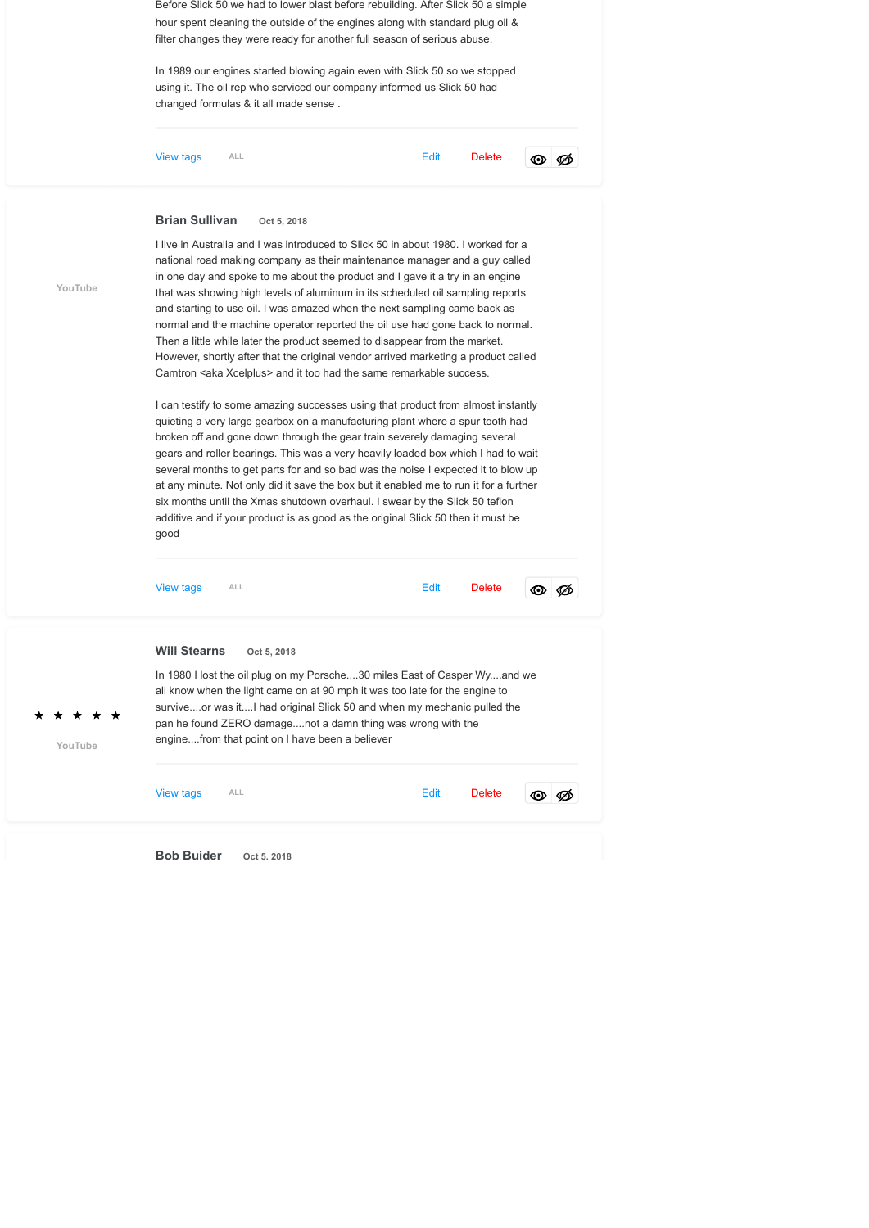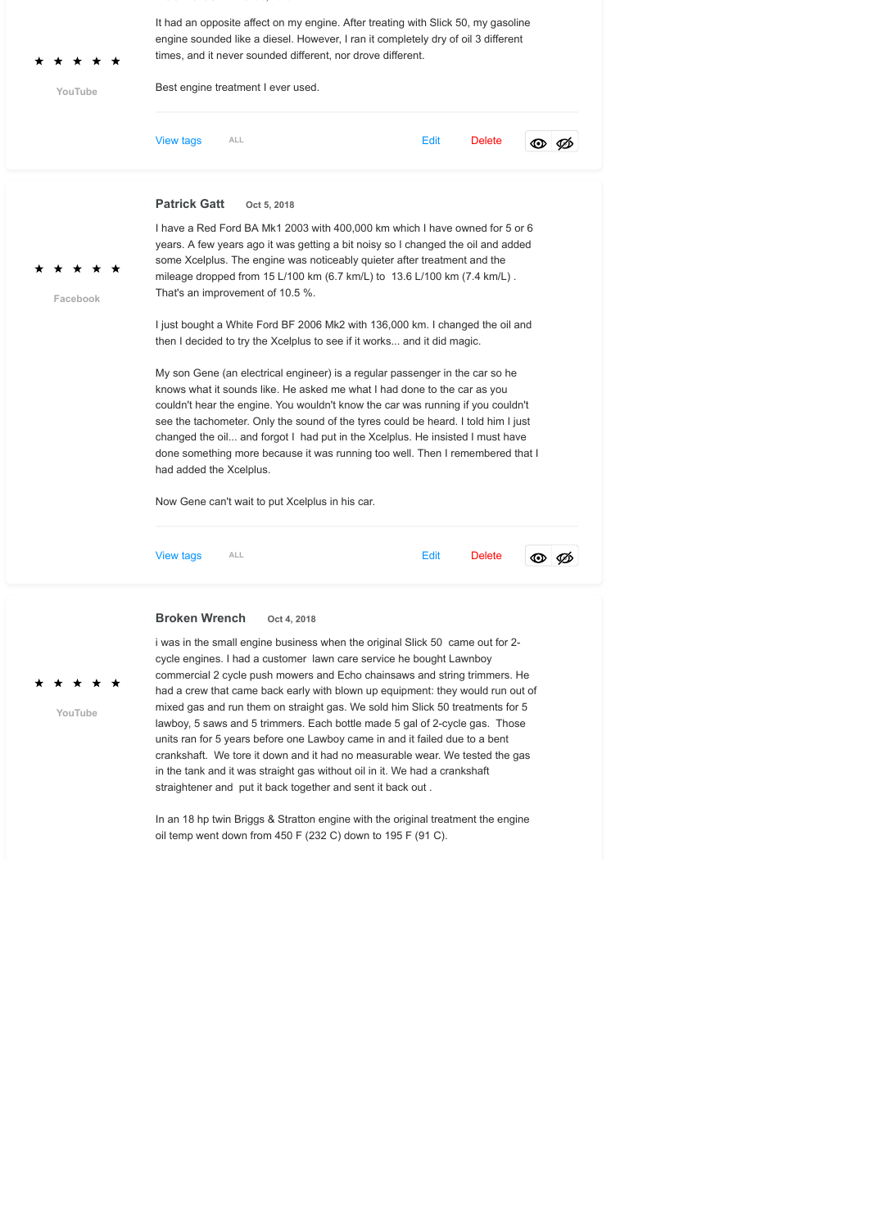| YouTube  | It had an opposite affect on my engine. After treating with Slick 50, my gasoline<br>engine sounded like a diesel. However, I ran it completely dry of oil 3 different<br>times, and it never sounded different, nor drove different.<br>Best engine treatment I ever used.                                                                                                                                                                                                                                                                                                                                                                                                                                                                                                                                                                                                                                                                                                                                                                                                                                                        |             |             |  |      |               |  |      |
|----------|------------------------------------------------------------------------------------------------------------------------------------------------------------------------------------------------------------------------------------------------------------------------------------------------------------------------------------------------------------------------------------------------------------------------------------------------------------------------------------------------------------------------------------------------------------------------------------------------------------------------------------------------------------------------------------------------------------------------------------------------------------------------------------------------------------------------------------------------------------------------------------------------------------------------------------------------------------------------------------------------------------------------------------------------------------------------------------------------------------------------------------|-------------|-------------|--|------|---------------|--|------|
|          | <b>View tags</b>                                                                                                                                                                                                                                                                                                                                                                                                                                                                                                                                                                                                                                                                                                                                                                                                                                                                                                                                                                                                                                                                                                                   | ALL         |             |  | Edit | <b>Delete</b> |  | ⊙⊧⊘⊘ |
| Facebook | <b>Patrick Gatt</b><br>I have a Red Ford BA Mk1 2003 with 400,000 km which I have owned for 5 or 6<br>years. A few years ago it was getting a bit noisy so I changed the oil and added<br>some Xcelplus. The engine was noticeably quieter after treatment and the<br>mileage dropped from 15 L/100 km (6.7 km/L) to 13.6 L/100 km (7.4 km/L).<br>That's an improvement of 10.5 %.<br>I just bought a White Ford BF 2006 Mk2 with 136,000 km. I changed the oil and<br>then I decided to try the Xcelplus to see if it works and it did magic.<br>My son Gene (an electrical engineer) is a regular passenger in the car so he<br>knows what it sounds like. He asked me what I had done to the car as you<br>couldn't hear the engine. You wouldn't know the car was running if you couldn't<br>see the tachometer. Only the sound of the tyres could be heard. I told him I just<br>changed the oil and forgot I had put in the Xcelplus. He insisted I must have<br>done something more because it was running too well. Then I remembered that I<br>had added the Xcelplus.<br>Now Gene can't wait to put Xcelplus in his car. | Oct 5, 2018 |             |  |      |               |  |      |
|          | <b>View tags</b>                                                                                                                                                                                                                                                                                                                                                                                                                                                                                                                                                                                                                                                                                                                                                                                                                                                                                                                                                                                                                                                                                                                   | ALL         |             |  | Edit | <b>Delete</b> |  | ⊙⊗⊘  |
| YouTube  | <b>Broken Wrench</b><br>i was in the small engine business when the original Slick 50 came out for 2-<br>cycle engines. I had a customer lawn care service he bought Lawnboy<br>commercial 2 cycle push mowers and Echo chainsaws and string trimmers. He<br>had a crew that came back early with blown up equipment: they would run out of<br>mixed gas and run them on straight gas. We sold him Slick 50 treatments for 5<br>lawboy, 5 saws and 5 trimmers. Each bottle made 5 gal of 2-cycle gas. Those<br>units ran for 5 years before one Lawboy came in and it failed due to a bent<br>crankshaft. We tore it down and it had no measurable wear. We tested the gas<br>in the tank and it was straight gas without oil in it. We had a crankshaft<br>straightener and put it back together and sent it back out.<br>In an 18 hp twin Briggs & Stratton engine with the original treatment the engine<br>oil temp went down from 450 F (232 C) down to 195 F (91 C).                                                                                                                                                         |             | Oct 4, 2018 |  |      |               |  |      |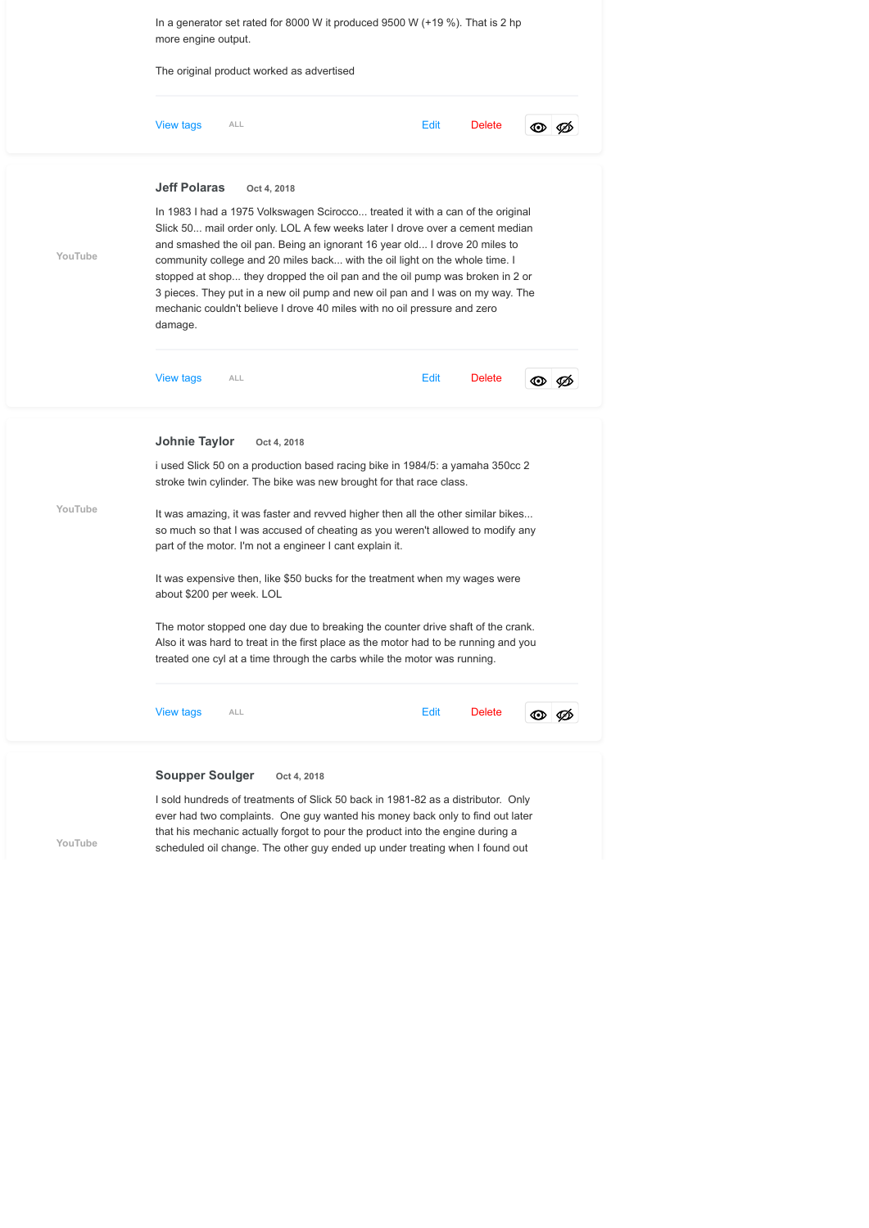

I sold hundreds of treatments of Slick 50 back in 1981-82 as a distributor. Only ever had two complaints. One guy wanted his money back only to find out later that his mechanic actually forgot to pour the product into the engine during a scheduled oil change. The other guy ended up under treating when I found out

**[YouTube](https://www.youtube.com/channel/UCn3aT1QWYPnQ8qRB9SXA2Gw)**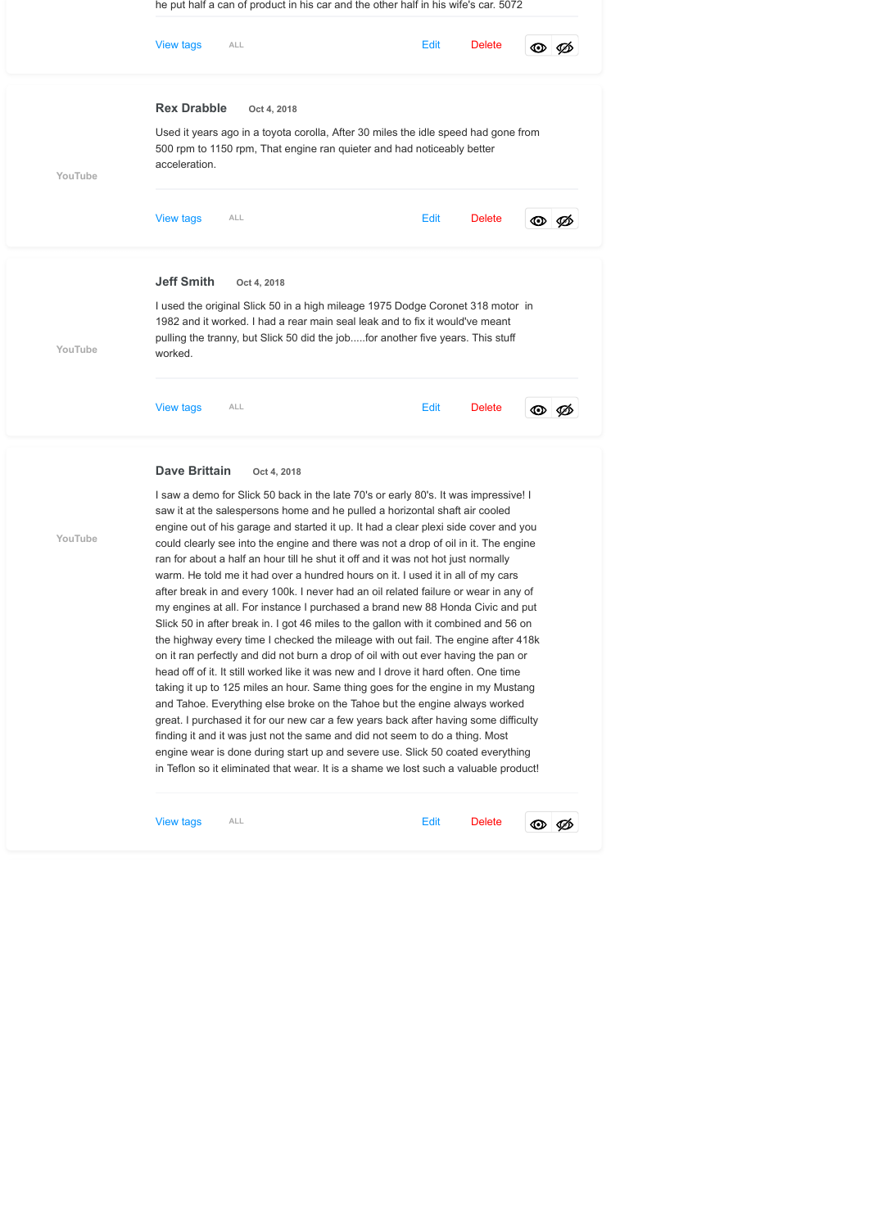|         | <b>View tags</b><br>ALL                                                                                                                                                                                                                                                                                                                                                                                                                                                                                                                                                                                                                                                                                                                                                                                                                                                                                                                                                                                                                                                                                                                                                                                                                                                                                                                                                                            | Edit | <b>Delete</b> | စା   |  |  |  |  |  |  |
|---------|----------------------------------------------------------------------------------------------------------------------------------------------------------------------------------------------------------------------------------------------------------------------------------------------------------------------------------------------------------------------------------------------------------------------------------------------------------------------------------------------------------------------------------------------------------------------------------------------------------------------------------------------------------------------------------------------------------------------------------------------------------------------------------------------------------------------------------------------------------------------------------------------------------------------------------------------------------------------------------------------------------------------------------------------------------------------------------------------------------------------------------------------------------------------------------------------------------------------------------------------------------------------------------------------------------------------------------------------------------------------------------------------------|------|---------------|------|--|--|--|--|--|--|
|         | <b>Rex Drabble</b><br>Oct 4, 2018                                                                                                                                                                                                                                                                                                                                                                                                                                                                                                                                                                                                                                                                                                                                                                                                                                                                                                                                                                                                                                                                                                                                                                                                                                                                                                                                                                  |      |               |      |  |  |  |  |  |  |
| YouTube | Used it years ago in a toyota corolla, After 30 miles the idle speed had gone from<br>500 rpm to 1150 rpm, That engine ran quieter and had noticeably better<br>acceleration.                                                                                                                                                                                                                                                                                                                                                                                                                                                                                                                                                                                                                                                                                                                                                                                                                                                                                                                                                                                                                                                                                                                                                                                                                      |      |               |      |  |  |  |  |  |  |
|         | <b>View tags</b><br><b>ALL</b>                                                                                                                                                                                                                                                                                                                                                                                                                                                                                                                                                                                                                                                                                                                                                                                                                                                                                                                                                                                                                                                                                                                                                                                                                                                                                                                                                                     | Edit | <b>Delete</b> | ®I Ø |  |  |  |  |  |  |
|         | <b>Jeff Smith</b><br>Oct 4, 2018                                                                                                                                                                                                                                                                                                                                                                                                                                                                                                                                                                                                                                                                                                                                                                                                                                                                                                                                                                                                                                                                                                                                                                                                                                                                                                                                                                   |      |               |      |  |  |  |  |  |  |
| YouTube | I used the original Slick 50 in a high mileage 1975 Dodge Coronet 318 motor in<br>1982 and it worked. I had a rear main seal leak and to fix it would've meant<br>pulling the tranny, but Slick 50 did the jobfor another five years. This stuff<br>worked.                                                                                                                                                                                                                                                                                                                                                                                                                                                                                                                                                                                                                                                                                                                                                                                                                                                                                                                                                                                                                                                                                                                                        |      |               |      |  |  |  |  |  |  |
|         | <b>View tags</b><br><b>ALL</b>                                                                                                                                                                                                                                                                                                                                                                                                                                                                                                                                                                                                                                                                                                                                                                                                                                                                                                                                                                                                                                                                                                                                                                                                                                                                                                                                                                     | Edit | <b>Delete</b> | o Ø  |  |  |  |  |  |  |
|         | Dave Brittain<br>Oct 4, 2018                                                                                                                                                                                                                                                                                                                                                                                                                                                                                                                                                                                                                                                                                                                                                                                                                                                                                                                                                                                                                                                                                                                                                                                                                                                                                                                                                                       |      |               |      |  |  |  |  |  |  |
| YouTube | I saw a demo for Slick 50 back in the late 70's or early 80's. It was impressive! I<br>saw it at the salespersons home and he pulled a horizontal shaft air cooled<br>engine out of his garage and started it up. It had a clear plexi side cover and you<br>could clearly see into the engine and there was not a drop of oil in it. The engine<br>ran for about a half an hour till he shut it off and it was not hot just normally<br>warm. He told me it had over a hundred hours on it. I used it in all of my cars<br>after break in and every 100k. I never had an oil related failure or wear in any of<br>my engines at all. For instance I purchased a brand new 88 Honda Civic and put<br>Slick 50 in after break in. I got 46 miles to the gallon with it combined and 56 on<br>the highway every time I checked the mileage with out fail. The engine after 418k<br>on it ran perfectly and did not burn a drop of oil with out ever having the pan or<br>head off of it. It still worked like it was new and I drove it hard often. One time<br>taking it up to 125 miles an hour. Same thing goes for the engine in my Mustang<br>and Tahoe. Everything else broke on the Tahoe but the engine always worked<br>great. I purchased it for our new car a few years back after having some difficulty<br>finding it and it was just not the same and did not seem to do a thing. Most |      |               |      |  |  |  |  |  |  |